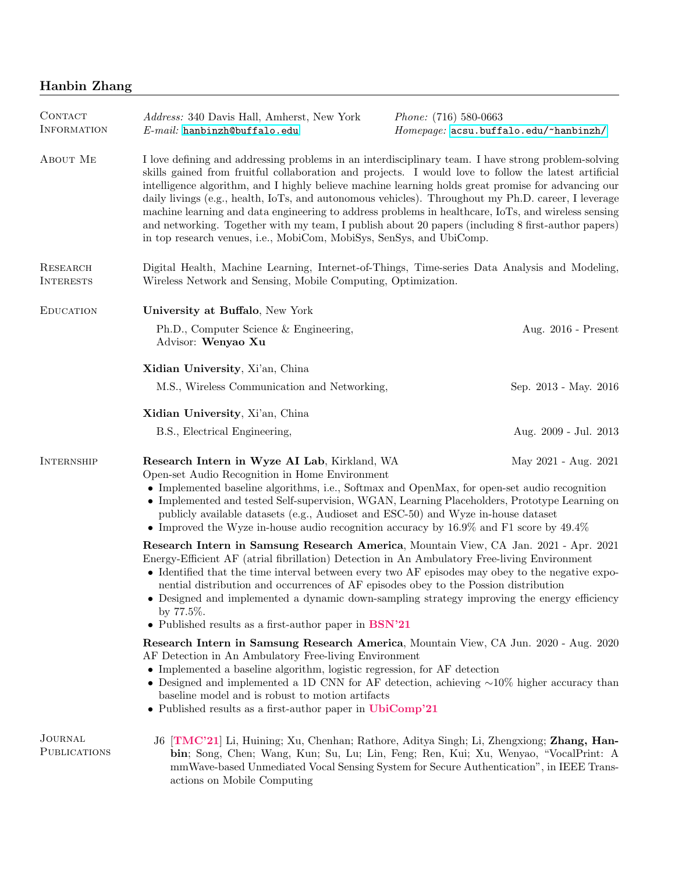## Hanbin Zhang

| CONTACT<br><b>INFORMATION</b>         | Address: 340 Davis Hall, Amherst, New York<br>$E$ -mail: hanbinzh@buffalo.edu                                                                                                                                                                                                                                                                                                                                                                                                                                                                                                                                                                                                                                  | <i>Phone:</i> $(716)$ 580-0663<br>Homepage: acsu.buffalo.edu/~hanbinzh/ |
|---------------------------------------|----------------------------------------------------------------------------------------------------------------------------------------------------------------------------------------------------------------------------------------------------------------------------------------------------------------------------------------------------------------------------------------------------------------------------------------------------------------------------------------------------------------------------------------------------------------------------------------------------------------------------------------------------------------------------------------------------------------|-------------------------------------------------------------------------|
| ABOUT ME                              | I love defining and addressing problems in an interdisciplinary team. I have strong problem-solving<br>skills gained from fruitful collaboration and projects. I would love to follow the latest artificial<br>intelligence algorithm, and I highly believe machine learning holds great promise for advancing our<br>daily livings (e.g., health, IoTs, and autonomous vehicles). Throughout my Ph.D. career, I leverage<br>machine learning and data engineering to address problems in healthcare, IoTs, and wireless sensing<br>and networking. Together with my team, I publish about 20 papers (including 8 first-author papers)<br>in top research venues, i.e., MobiCom, MobiSys, SenSys, and UbiComp. |                                                                         |
| RESEARCH<br><b>INTERESTS</b>          | Digital Health, Machine Learning, Internet-of-Things, Time-series Data Analysis and Modeling,<br>Wireless Network and Sensing, Mobile Computing, Optimization.                                                                                                                                                                                                                                                                                                                                                                                                                                                                                                                                                 |                                                                         |
| <b>EDUCATION</b>                      | University at Buffalo, New York                                                                                                                                                                                                                                                                                                                                                                                                                                                                                                                                                                                                                                                                                |                                                                         |
|                                       | Ph.D., Computer Science & Engineering,<br>Advisor: Wenyao Xu                                                                                                                                                                                                                                                                                                                                                                                                                                                                                                                                                                                                                                                   | Aug. 2016 - Present                                                     |
|                                       | Xidian University, Xi'an, China                                                                                                                                                                                                                                                                                                                                                                                                                                                                                                                                                                                                                                                                                |                                                                         |
|                                       | M.S., Wireless Communication and Networking,                                                                                                                                                                                                                                                                                                                                                                                                                                                                                                                                                                                                                                                                   | Sep. 2013 - May. 2016                                                   |
|                                       | Xidian University, Xi'an, China                                                                                                                                                                                                                                                                                                                                                                                                                                                                                                                                                                                                                                                                                |                                                                         |
|                                       | B.S., Electrical Engineering,                                                                                                                                                                                                                                                                                                                                                                                                                                                                                                                                                                                                                                                                                  | Aug. 2009 - Jul. 2013                                                   |
| <b>INTERNSHIP</b>                     | Research Intern in Wyze AI Lab, Kirkland, WA<br>May 2021 - Aug. 2021<br>Open-set Audio Recognition in Home Environment<br>• Implemented baseline algorithms, i.e., Softmax and OpenMax, for open-set audio recognition<br>• Implemented and tested Self-supervision, WGAN, Learning Placeholders, Prototype Learning on<br>publicly available datasets (e.g., Audioset and ESC-50) and Wyze in-house dataset<br>• Improved the Wyze in-house audio recognition accuracy by $16.9\%$ and F1 score by $49.4\%$                                                                                                                                                                                                   |                                                                         |
|                                       | Research Intern in Samsung Research America, Mountain View, CA Jan. 2021 - Apr. 2021<br>Energy-Efficient AF (atrial fibrillation) Detection in An Ambulatory Free-living Environment<br>• Identified that the time interval between every two AF episodes may obey to the negative expo-<br>nential distribution and occurrences of AF episodes obey to the Possion distribution<br>• Designed and implemented a dynamic down-sampling strategy improving the energy efficiency<br>by $77.5\%$ .<br>• Published results as a first-author paper in BSN'21                                                                                                                                                      |                                                                         |
|                                       | Research Intern in Samsung Research America, Mountain View, CA Jun. 2020 - Aug. 2020<br>AF Detection in An Ambulatory Free-living Environment<br>• Implemented a baseline algorithm, logistic regression, for AF detection<br>• Designed and implemented a 1D CNN for AF detection, achieving $\sim 10\%$ higher accuracy than<br>baseline model and is robust to motion artifacts<br>• Published results as a first-author paper in UbiComp'21                                                                                                                                                                                                                                                                |                                                                         |
| <b>JOURNAL</b><br><b>PUBLICATIONS</b> | J6 [TMC'21] Li, Huining; Xu, Chenhan; Rathore, Aditya Singh; Li, Zhengxiong; Zhang, Han-<br>bin; Song, Chen; Wang, Kun; Su, Lu; Lin, Feng; Ren, Kui; Xu, Wenyao, "VocalPrint: A<br>mmWave-based Unmediated Vocal Sensing System for Secure Authentication", in IEEE Trans-<br>actions on Mobile Computing                                                                                                                                                                                                                                                                                                                                                                                                      |                                                                         |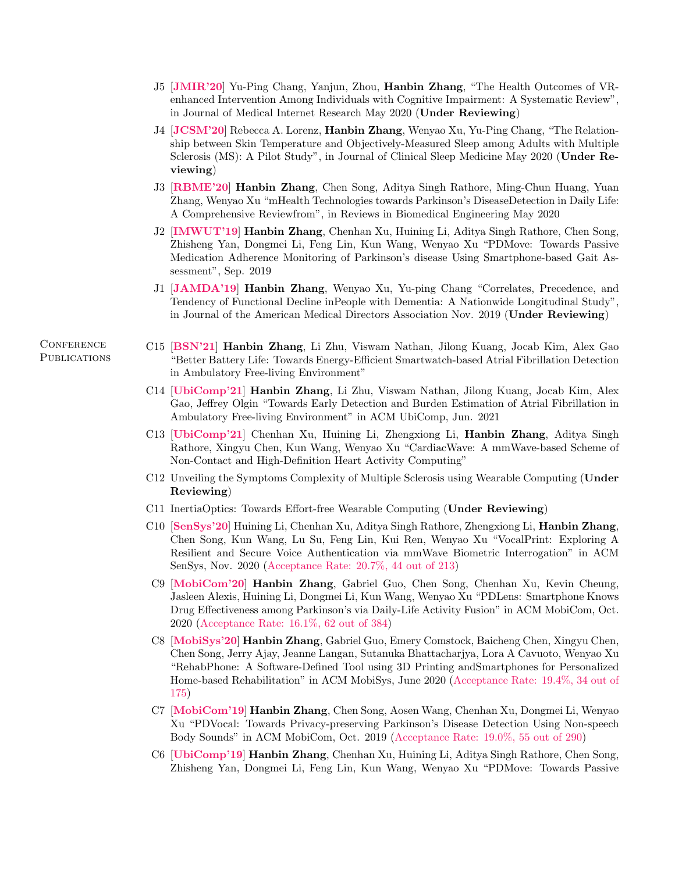- J5 [JMIR'20] Yu-Ping Chang, Yanjun, Zhou, Hanbin Zhang, "The Health Outcomes of VRenhanced Intervention Among Individuals with Cognitive Impairment: A Systematic Review", in Journal of Medical Internet Research May 2020 (Under Reviewing)
- J4 [JCSM'20] Rebecca A. Lorenz, Hanbin Zhang, Wenyao Xu, Yu-Ping Chang, "The Relationship between Skin Temperature and Objectively-Measured Sleep among Adults with Multiple Sclerosis (MS): A Pilot Study", in Journal of Clinical Sleep Medicine May 2020 (Under Reviewing)
- J3 [RBME'20] Hanbin Zhang, Chen Song, Aditya Singh Rathore, Ming-Chun Huang, Yuan Zhang, Wenyao Xu "mHealth Technologies towards Parkinson's DiseaseDetection in Daily Life: A Comprehensive Reviewfrom", in Reviews in Biomedical Engineering May 2020
- J2 [IMWUT'19] Hanbin Zhang, Chenhan Xu, Huining Li, Aditya Singh Rathore, Chen Song, Zhisheng Yan, Dongmei Li, Feng Lin, Kun Wang, Wenyao Xu "PDMove: Towards Passive Medication Adherence Monitoring of Parkinson's disease Using Smartphone-based Gait Assessment", Sep. 2019
- J1 [JAMDA'19] Hanbin Zhang, Wenyao Xu, Yu-ping Chang "Correlates, Precedence, and Tendency of Functional Decline inPeople with Dementia: A Nationwide Longitudinal Study", in Journal of the American Medical Directors Association Nov. 2019 (Under Reviewing)
- C15 [BSN'21] Hanbin Zhang, Li Zhu, Viswam Nathan, Jilong Kuang, Jocab Kim, Alex Gao "Better Battery Life: Towards Energy-Efficient Smartwatch-based Atrial Fibrillation Detection in Ambulatory Free-living Environment"
- C14 [UbiComp'21] Hanbin Zhang, Li Zhu, Viswam Nathan, Jilong Kuang, Jocab Kim, Alex Gao, Jeffrey Olgin "Towards Early Detection and Burden Estimation of Atrial Fibrillation in Ambulatory Free-living Environment" in ACM UbiComp, Jun. 2021
- C13 [UbiComp'21] Chenhan Xu, Huining Li, Zhengxiong Li, Hanbin Zhang, Aditya Singh Rathore, Xingyu Chen, Kun Wang, Wenyao Xu "CardiacWave: A mmWave-based Scheme of Non-Contact and High-Definition Heart Activity Computing"
- C12 Unveiling the Symptoms Complexity of Multiple Sclerosis using Wearable Computing (Under Reviewing)
- C11 InertiaOptics: Towards Effort-free Wearable Computing (Under Reviewing)
- C10 [SenSys'20] Huining Li, Chenhan Xu, Aditya Singh Rathore, Zhengxiong Li, Hanbin Zhang, Chen Song, Kun Wang, Lu Su, Feng Lin, Kui Ren, Wenyao Xu "VocalPrint: Exploring A Resilient and Secure Voice Authentication via mmWave Biometric Interrogation" in ACM SenSys, Nov. 2020 (Acceptance Rate: 20.7%, 44 out of 213)
- C9 [MobiCom'20] Hanbin Zhang, Gabriel Guo, Chen Song, Chenhan Xu, Kevin Cheung, Jasleen Alexis, Huining Li, Dongmei Li, Kun Wang, Wenyao Xu "PDLens: Smartphone Knows Drug Effectiveness among Parkinson's via Daily-Life Activity Fusion" in ACM MobiCom, Oct. 2020 (Acceptance Rate: 16.1%, 62 out of 384)
- C8 [MobiSys'20] Hanbin Zhang, Gabriel Guo, Emery Comstock, Baicheng Chen, Xingyu Chen, Chen Song, Jerry Ajay, Jeanne Langan, Sutanuka Bhattacharjya, Lora A Cavuoto, Wenyao Xu "RehabPhone: A Software-Defined Tool using 3D Printing andSmartphones for Personalized Home-based Rehabilitation" in ACM MobiSys, June 2020 (Acceptance Rate: 19.4%, 34 out of 175)
- C7 [MobiCom'19] Hanbin Zhang, Chen Song, Aosen Wang, Chenhan Xu, Dongmei Li, Wenyao Xu "PDVocal: Towards Privacy-preserving Parkinson's Disease Detection Using Non-speech Body Sounds" in ACM MobiCom, Oct. 2019 (Acceptance Rate: 19.0%, 55 out of 290)
- C6 [UbiComp'19] Hanbin Zhang, Chenhan Xu, Huining Li, Aditya Singh Rathore, Chen Song, Zhisheng Yan, Dongmei Li, Feng Lin, Kun Wang, Wenyao Xu "PDMove: Towards Passive

**CONFERENCE PUBLICATIONS**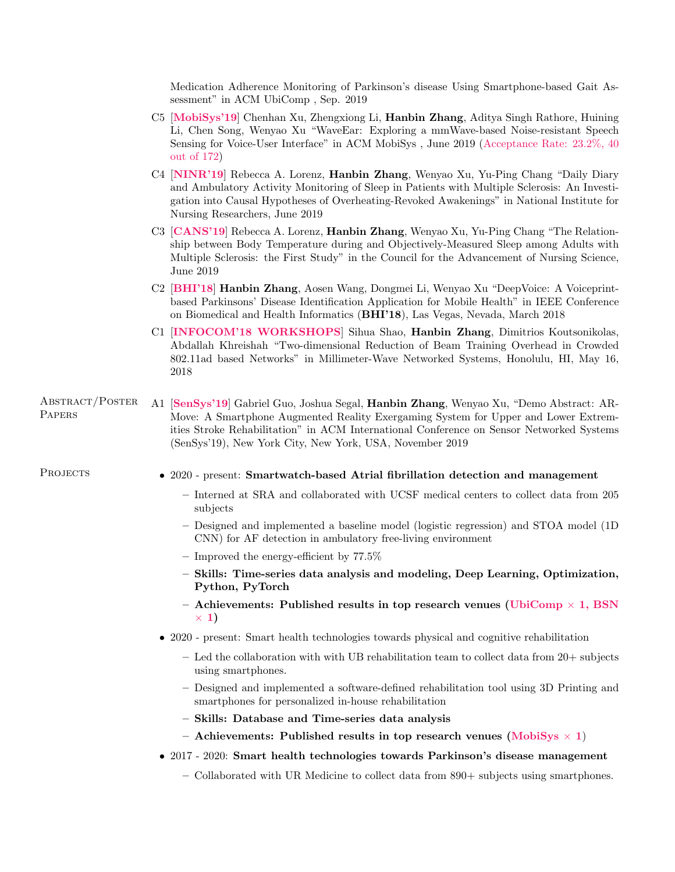Medication Adherence Monitoring of Parkinson's disease Using Smartphone-based Gait Assessment" in ACM UbiComp , Sep. 2019

- C5 [MobiSys'19] Chenhan Xu, Zhengxiong Li, Hanbin Zhang, Aditya Singh Rathore, Huining Li, Chen Song, Wenyao Xu "WaveEar: Exploring a mmWave-based Noise-resistant Speech Sensing for Voice-User Interface" in ACM MobiSys , June 2019 (Acceptance Rate: 23.2%, 40 out of 172)
- C4 [NINR'19] Rebecca A. Lorenz, Hanbin Zhang, Wenyao Xu, Yu-Ping Chang "Daily Diary and Ambulatory Activity Monitoring of Sleep in Patients with Multiple Sclerosis: An Investigation into Causal Hypotheses of Overheating-Revoked Awakenings" in National Institute for Nursing Researchers, June 2019
- C3 [CANS'19] Rebecca A. Lorenz, Hanbin Zhang, Wenyao Xu, Yu-Ping Chang "The Relationship between Body Temperature during and Objectively-Measured Sleep among Adults with Multiple Sclerosis: the First Study" in the Council for the Advancement of Nursing Science, June 2019
- C2 [BHI'18] Hanbin Zhang, Aosen Wang, Dongmei Li, Wenyao Xu "DeepVoice: A Voiceprintbased Parkinsons' Disease Identification Application for Mobile Health" in IEEE Conference on Biomedical and Health Informatics (BHI'18), Las Vegas, Nevada, March 2018
- C1 [INFOCOM'18 WORKSHOPS] Sihua Shao, Hanbin Zhang, Dimitrios Koutsonikolas, Abdallah Khreishah "Two-dimensional Reduction of Beam Training Overhead in Crowded 802.11ad based Networks" in Millimeter-Wave Networked Systems, Honolulu, HI, May 16, 2018

## Abstract/Poster **PAPERS** A1 [SenSys'19] Gabriel Guo, Joshua Segal, Hanbin Zhang, Wenyao Xu, "Demo Abstract: AR-Move: A Smartphone Augmented Reality Exergaming System for Upper and Lower Extremities Stroke Rehabilitation" in ACM International Conference on Sensor Networked Systems (SenSys'19), New York City, New York, USA, November 2019

## PROJECTS • 2020 - present: Smartwatch-based Atrial fibrillation detection and management

- Interned at SRA and collaborated with UCSF medical centers to collect data from 205 subjects
- Designed and implemented a baseline model (logistic regression) and STOA model (1D CNN) for AF detection in ambulatory free-living environment
- Improved the energy-efficient by 77.5%
- Skills: Time-series data analysis and modeling, Deep Learning, Optimization, Python, PyTorch
- Achievements: Published results in top research venues (UbiComp  $\times$  1, BSN  $\times$  1)
- 2020 present: Smart health technologies towards physical and cognitive rehabilitation
	- Led the collaboration with with UB rehabilitation team to collect data from 20+ subjects using smartphones.
	- Designed and implemented a software-defined rehabilitation tool using 3D Printing and smartphones for personalized in-house rehabilitation
	- Skills: Database and Time-series data analysis
	- Achievements: Published results in top research venues (MobiSys  $\times$  1)
- 2017 2020: Smart health technologies towards Parkinson's disease management
	- Collaborated with UR Medicine to collect data from 890+ subjects using smartphones.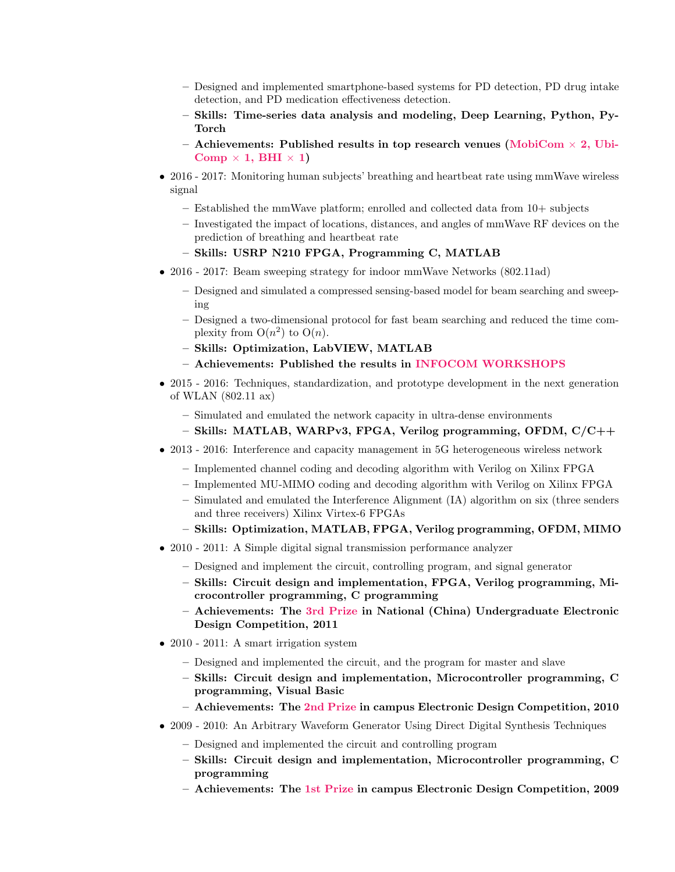- Designed and implemented smartphone-based systems for PD detection, PD drug intake detection, and PD medication effectiveness detection.
- Skills: Time-series data analysis and modeling, Deep Learning, Python, Py-Torch
- Achievements: Published results in top research venues (MobiCom  $\times$  2, Ubi-Comp  $\times$  1, BHI  $\times$  1)
- 2016 2017: Monitoring human subjects' breathing and heartbeat rate using mmWave wireless signal
	- $-$  Established the mmWave platform; enrolled and collected data from  $10+$  subjects
	- Investigated the impact of locations, distances, and angles of mmWave RF devices on the prediction of breathing and heartbeat rate
	- Skills: USRP N210 FPGA, Programming C, MATLAB
- 2016 2017: Beam sweeping strategy for indoor mmWave Networks (802.11ad)
	- Designed and simulated a compressed sensing-based model for beam searching and sweeping
	- Designed a two-dimensional protocol for fast beam searching and reduced the time complexity from  $O(n^2)$  to  $O(n)$ .
	- Skills: Optimization, LabVIEW, MATLAB
	- Achievements: Published the results in INFOCOM WORKSHOPS
- 2015 2016: Techniques, standardization, and prototype development in the next generation of WLAN (802.11 ax)
	- Simulated and emulated the network capacity in ultra-dense environments
	- Skills: MATLAB, WARPv3, FPGA, Verilog programming, OFDM, C/C++
- 2013 2016: Interference and capacity management in 5G heterogeneous wireless network
	- Implemented channel coding and decoding algorithm with Verilog on Xilinx FPGA
	- Implemented MU-MIMO coding and decoding algorithm with Verilog on Xilinx FPGA
	- Simulated and emulated the Interference Alignment (IA) algorithm on six (three senders and three receivers) Xilinx Virtex-6 FPGAs
	- Skills: Optimization, MATLAB, FPGA, Verilog programming, OFDM, MIMO
- 2010 2011: A Simple digital signal transmission performance analyzer
	- Designed and implement the circuit, controlling program, and signal generator
	- Skills: Circuit design and implementation, FPGA, Verilog programming, Microcontroller programming, C programming
	- Achievements: The 3rd Prize in National (China) Undergraduate Electronic Design Competition, 2011
- 2010 2011: A smart irrigation system
	- Designed and implemented the circuit, and the program for master and slave
	- Skills: Circuit design and implementation, Microcontroller programming, C programming, Visual Basic
	- Achievements: The 2nd Prize in campus Electronic Design Competition, 2010
- 2009 2010: An Arbitrary Waveform Generator Using Direct Digital Synthesis Techniques
	- Designed and implemented the circuit and controlling program
	- Skills: Circuit design and implementation, Microcontroller programming, C programming
	- Achievements: The 1st Prize in campus Electronic Design Competition, 2009